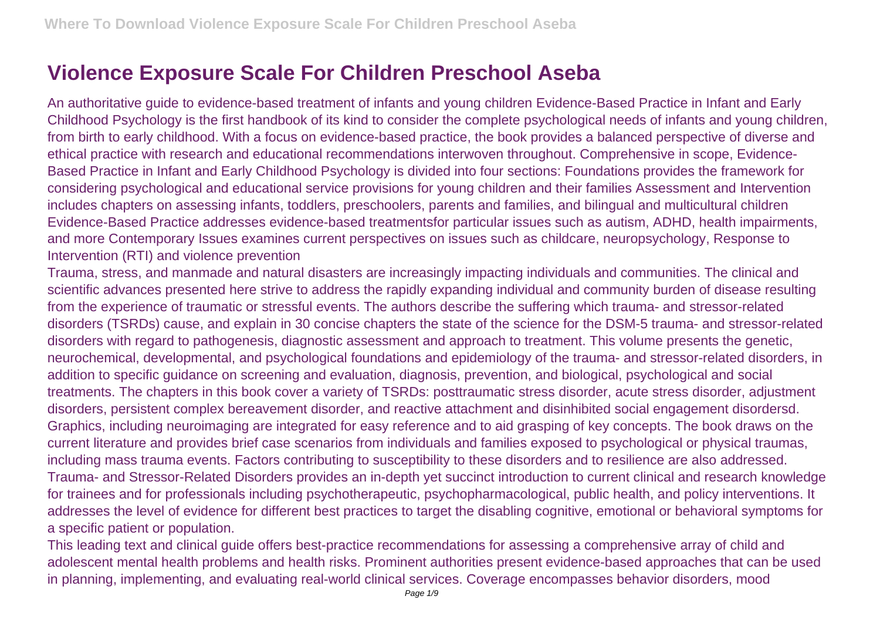## **Violence Exposure Scale For Children Preschool Aseba**

An authoritative guide to evidence-based treatment of infants and young children Evidence-Based Practice in Infant and Early Childhood Psychology is the first handbook of its kind to consider the complete psychological needs of infants and young children, from birth to early childhood. With a focus on evidence-based practice, the book provides a balanced perspective of diverse and ethical practice with research and educational recommendations interwoven throughout. Comprehensive in scope, Evidence-Based Practice in Infant and Early Childhood Psychology is divided into four sections: Foundations provides the framework for considering psychological and educational service provisions for young children and their families Assessment and Intervention includes chapters on assessing infants, toddlers, preschoolers, parents and families, and bilingual and multicultural children Evidence-Based Practice addresses evidence-based treatmentsfor particular issues such as autism, ADHD, health impairments, and more Contemporary Issues examines current perspectives on issues such as childcare, neuropsychology, Response to Intervention (RTI) and violence prevention

Trauma, stress, and manmade and natural disasters are increasingly impacting individuals and communities. The clinical and scientific advances presented here strive to address the rapidly expanding individual and community burden of disease resulting from the experience of traumatic or stressful events. The authors describe the suffering which trauma- and stressor-related disorders (TSRDs) cause, and explain in 30 concise chapters the state of the science for the DSM-5 trauma- and stressor-related disorders with regard to pathogenesis, diagnostic assessment and approach to treatment. This volume presents the genetic, neurochemical, developmental, and psychological foundations and epidemiology of the trauma- and stressor-related disorders, in addition to specific guidance on screening and evaluation, diagnosis, prevention, and biological, psychological and social treatments. The chapters in this book cover a variety of TSRDs: posttraumatic stress disorder, acute stress disorder, adjustment disorders, persistent complex bereavement disorder, and reactive attachment and disinhibited social engagement disordersd. Graphics, including neuroimaging are integrated for easy reference and to aid grasping of key concepts. The book draws on the current literature and provides brief case scenarios from individuals and families exposed to psychological or physical traumas, including mass trauma events. Factors contributing to susceptibility to these disorders and to resilience are also addressed. Trauma- and Stressor-Related Disorders provides an in-depth yet succinct introduction to current clinical and research knowledge for trainees and for professionals including psychotherapeutic, psychopharmacological, public health, and policy interventions. It addresses the level of evidence for different best practices to target the disabling cognitive, emotional or behavioral symptoms for a specific patient or population.

This leading text and clinical guide offers best-practice recommendations for assessing a comprehensive array of child and adolescent mental health problems and health risks. Prominent authorities present evidence-based approaches that can be used in planning, implementing, and evaluating real-world clinical services. Coverage encompasses behavior disorders, mood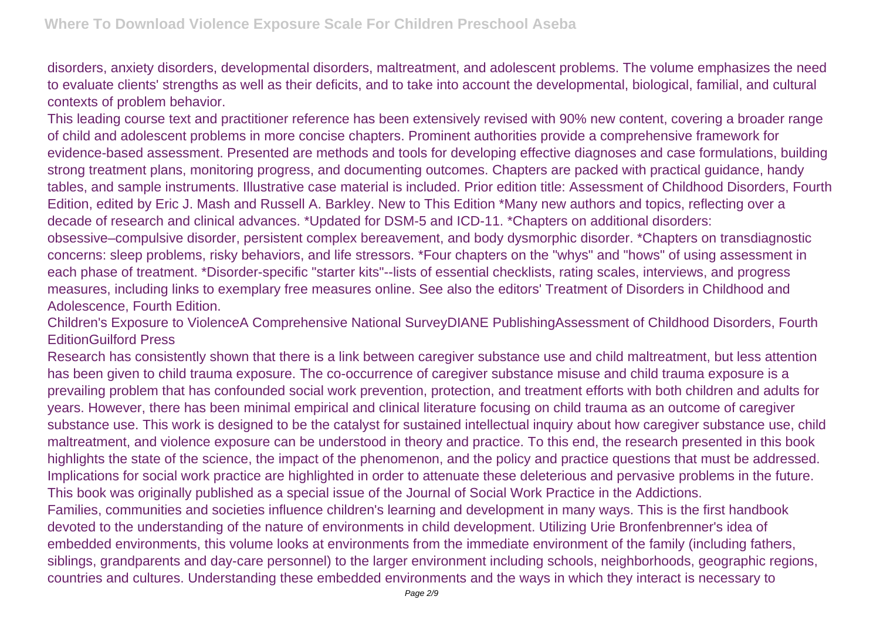disorders, anxiety disorders, developmental disorders, maltreatment, and adolescent problems. The volume emphasizes the need to evaluate clients' strengths as well as their deficits, and to take into account the developmental, biological, familial, and cultural contexts of problem behavior.

This leading course text and practitioner reference has been extensively revised with 90% new content, covering a broader range of child and adolescent problems in more concise chapters. Prominent authorities provide a comprehensive framework for evidence-based assessment. Presented are methods and tools for developing effective diagnoses and case formulations, building strong treatment plans, monitoring progress, and documenting outcomes. Chapters are packed with practical guidance, handy tables, and sample instruments. Illustrative case material is included. Prior edition title: Assessment of Childhood Disorders, Fourth Edition, edited by Eric J. Mash and Russell A. Barkley. New to This Edition \*Many new authors and topics, reflecting over a decade of research and clinical advances. \*Updated for DSM-5 and ICD-11. \*Chapters on additional disorders: obsessive–compulsive disorder, persistent complex bereavement, and body dysmorphic disorder. \*Chapters on transdiagnostic concerns: sleep problems, risky behaviors, and life stressors. \*Four chapters on the "whys" and "hows" of using assessment in each phase of treatment. \*Disorder-specific "starter kits"--lists of essential checklists, rating scales, interviews, and progress measures, including links to exemplary free measures online. See also the editors' Treatment of Disorders in Childhood and Adolescence, Fourth Edition.

Children's Exposure to ViolenceA Comprehensive National SurveyDIANE PublishingAssessment of Childhood Disorders, Fourth EditionGuilford Press

Research has consistently shown that there is a link between caregiver substance use and child maltreatment, but less attention has been given to child trauma exposure. The co-occurrence of caregiver substance misuse and child trauma exposure is a prevailing problem that has confounded social work prevention, protection, and treatment efforts with both children and adults for years. However, there has been minimal empirical and clinical literature focusing on child trauma as an outcome of caregiver substance use. This work is designed to be the catalyst for sustained intellectual inquiry about how caregiver substance use, child maltreatment, and violence exposure can be understood in theory and practice. To this end, the research presented in this book highlights the state of the science, the impact of the phenomenon, and the policy and practice questions that must be addressed. Implications for social work practice are highlighted in order to attenuate these deleterious and pervasive problems in the future. This book was originally published as a special issue of the Journal of Social Work Practice in the Addictions. Families, communities and societies influence children's learning and development in many ways. This is the first handbook devoted to the understanding of the nature of environments in child development. Utilizing Urie Bronfenbrenner's idea of embedded environments, this volume looks at environments from the immediate environment of the family (including fathers, siblings, grandparents and day-care personnel) to the larger environment including schools, neighborhoods, geographic regions, countries and cultures. Understanding these embedded environments and the ways in which they interact is necessary to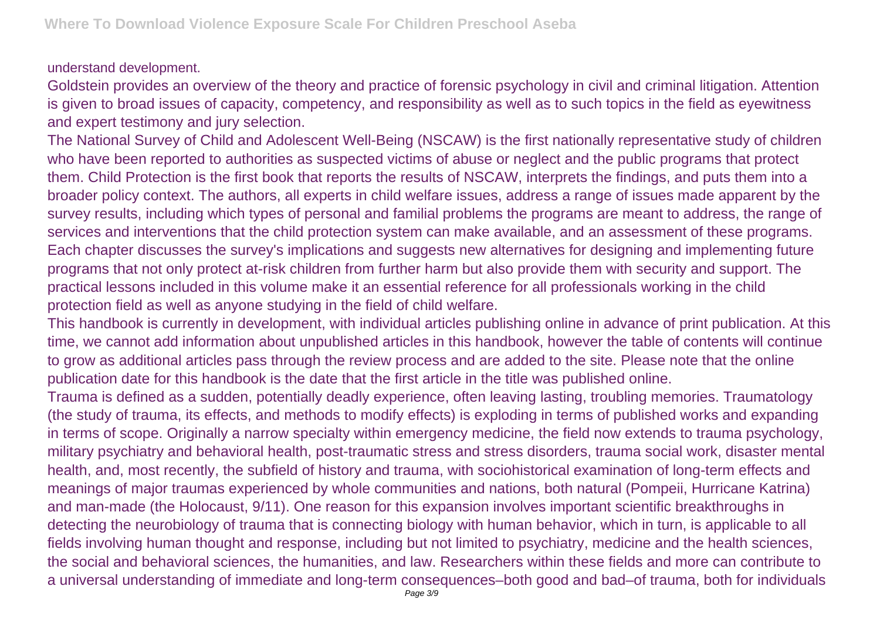## understand development.

Goldstein provides an overview of the theory and practice of forensic psychology in civil and criminal litigation. Attention is given to broad issues of capacity, competency, and responsibility as well as to such topics in the field as eyewitness and expert testimony and jury selection.

The National Survey of Child and Adolescent Well-Being (NSCAW) is the first nationally representative study of children who have been reported to authorities as suspected victims of abuse or neglect and the public programs that protect them. Child Protection is the first book that reports the results of NSCAW, interprets the findings, and puts them into a broader policy context. The authors, all experts in child welfare issues, address a range of issues made apparent by the survey results, including which types of personal and familial problems the programs are meant to address, the range of services and interventions that the child protection system can make available, and an assessment of these programs. Each chapter discusses the survey's implications and suggests new alternatives for designing and implementing future programs that not only protect at-risk children from further harm but also provide them with security and support. The practical lessons included in this volume make it an essential reference for all professionals working in the child protection field as well as anyone studying in the field of child welfare.

This handbook is currently in development, with individual articles publishing online in advance of print publication. At this time, we cannot add information about unpublished articles in this handbook, however the table of contents will continue to grow as additional articles pass through the review process and are added to the site. Please note that the online publication date for this handbook is the date that the first article in the title was published online.

Trauma is defined as a sudden, potentially deadly experience, often leaving lasting, troubling memories. Traumatology (the study of trauma, its effects, and methods to modify effects) is exploding in terms of published works and expanding in terms of scope. Originally a narrow specialty within emergency medicine, the field now extends to trauma psychology, military psychiatry and behavioral health, post-traumatic stress and stress disorders, trauma social work, disaster mental health, and, most recently, the subfield of history and trauma, with sociohistorical examination of long-term effects and meanings of major traumas experienced by whole communities and nations, both natural (Pompeii, Hurricane Katrina) and man-made (the Holocaust, 9/11). One reason for this expansion involves important scientific breakthroughs in detecting the neurobiology of trauma that is connecting biology with human behavior, which in turn, is applicable to all fields involving human thought and response, including but not limited to psychiatry, medicine and the health sciences, the social and behavioral sciences, the humanities, and law. Researchers within these fields and more can contribute to a universal understanding of immediate and long-term consequences–both good and bad–of trauma, both for individuals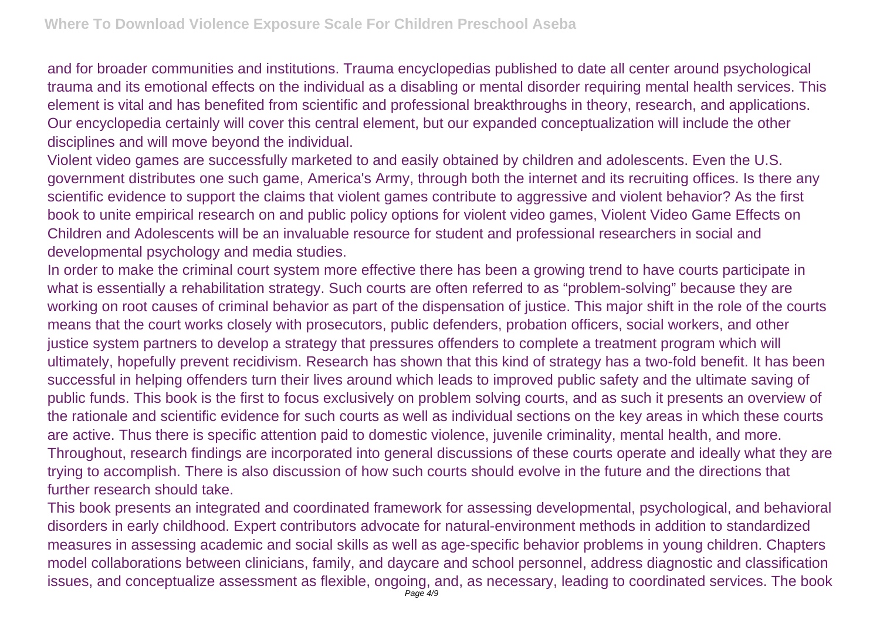and for broader communities and institutions. Trauma encyclopedias published to date all center around psychological trauma and its emotional effects on the individual as a disabling or mental disorder requiring mental health services. This element is vital and has benefited from scientific and professional breakthroughs in theory, research, and applications. Our encyclopedia certainly will cover this central element, but our expanded conceptualization will include the other disciplines and will move beyond the individual.

Violent video games are successfully marketed to and easily obtained by children and adolescents. Even the U.S. government distributes one such game, America's Army, through both the internet and its recruiting offices. Is there any scientific evidence to support the claims that violent games contribute to aggressive and violent behavior? As the first book to unite empirical research on and public policy options for violent video games, Violent Video Game Effects on Children and Adolescents will be an invaluable resource for student and professional researchers in social and developmental psychology and media studies.

In order to make the criminal court system more effective there has been a growing trend to have courts participate in what is essentially a rehabilitation strategy. Such courts are often referred to as "problem-solving" because they are working on root causes of criminal behavior as part of the dispensation of justice. This major shift in the role of the courts means that the court works closely with prosecutors, public defenders, probation officers, social workers, and other justice system partners to develop a strategy that pressures offenders to complete a treatment program which will ultimately, hopefully prevent recidivism. Research has shown that this kind of strategy has a two-fold benefit. It has been successful in helping offenders turn their lives around which leads to improved public safety and the ultimate saving of public funds. This book is the first to focus exclusively on problem solving courts, and as such it presents an overview of the rationale and scientific evidence for such courts as well as individual sections on the key areas in which these courts are active. Thus there is specific attention paid to domestic violence, juvenile criminality, mental health, and more. Throughout, research findings are incorporated into general discussions of these courts operate and ideally what they are trying to accomplish. There is also discussion of how such courts should evolve in the future and the directions that further research should take.

This book presents an integrated and coordinated framework for assessing developmental, psychological, and behavioral disorders in early childhood. Expert contributors advocate for natural-environment methods in addition to standardized measures in assessing academic and social skills as well as age-specific behavior problems in young children. Chapters model collaborations between clinicians, family, and daycare and school personnel, address diagnostic and classification issues, and conceptualize assessment as flexible, ongoing, and, as necessary, leading to coordinated services. The book Page 4/9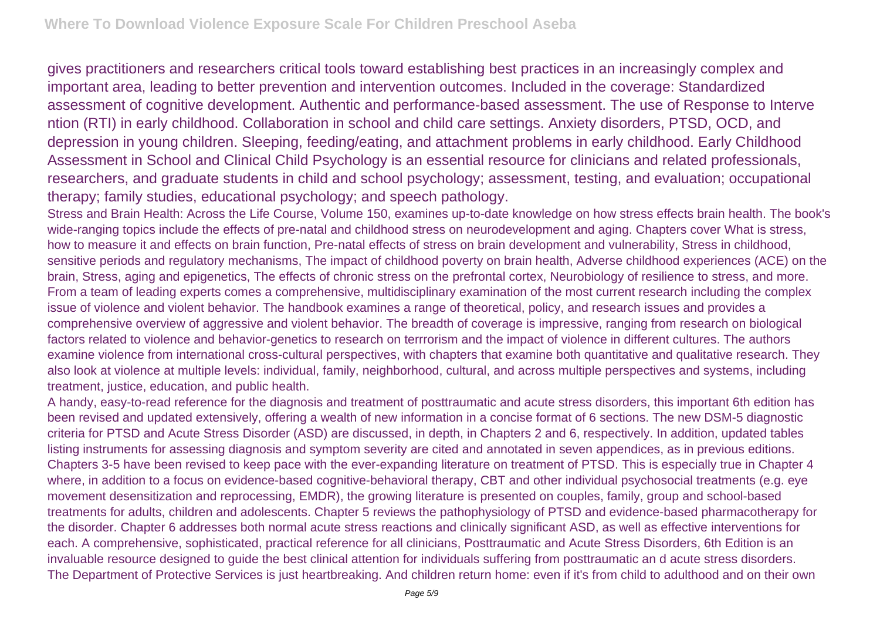gives practitioners and researchers critical tools toward establishing best practices in an increasingly complex and important area, leading to better prevention and intervention outcomes. Included in the coverage: Standardized assessment of cognitive development. Authentic and performance-based assessment. The use of Response to Interve ntion (RTI) in early childhood. Collaboration in school and child care settings. Anxiety disorders, PTSD, OCD, and depression in young children. Sleeping, feeding/eating, and attachment problems in early childhood. Early Childhood Assessment in School and Clinical Child Psychology is an essential resource for clinicians and related professionals, researchers, and graduate students in child and school psychology; assessment, testing, and evaluation; occupational therapy; family studies, educational psychology; and speech pathology.

Stress and Brain Health: Across the Life Course, Volume 150, examines up-to-date knowledge on how stress effects brain health. The book's wide-ranging topics include the effects of pre-natal and childhood stress on neurodevelopment and aging. Chapters cover What is stress, how to measure it and effects on brain function, Pre-natal effects of stress on brain development and vulnerability, Stress in childhood, sensitive periods and regulatory mechanisms, The impact of childhood poverty on brain health, Adverse childhood experiences (ACE) on the brain, Stress, aging and epigenetics, The effects of chronic stress on the prefrontal cortex, Neurobiology of resilience to stress, and more. From a team of leading experts comes a comprehensive, multidisciplinary examination of the most current research including the complex issue of violence and violent behavior. The handbook examines a range of theoretical, policy, and research issues and provides a comprehensive overview of aggressive and violent behavior. The breadth of coverage is impressive, ranging from research on biological factors related to violence and behavior-genetics to research on terrrorism and the impact of violence in different cultures. The authors examine violence from international cross-cultural perspectives, with chapters that examine both quantitative and qualitative research. They also look at violence at multiple levels: individual, family, neighborhood, cultural, and across multiple perspectives and systems, including treatment, justice, education, and public health.

A handy, easy-to-read reference for the diagnosis and treatment of posttraumatic and acute stress disorders, this important 6th edition has been revised and updated extensively, offering a wealth of new information in a concise format of 6 sections. The new DSM-5 diagnostic criteria for PTSD and Acute Stress Disorder (ASD) are discussed, in depth, in Chapters 2 and 6, respectively. In addition, updated tables listing instruments for assessing diagnosis and symptom severity are cited and annotated in seven appendices, as in previous editions. Chapters 3-5 have been revised to keep pace with the ever-expanding literature on treatment of PTSD. This is especially true in Chapter 4 where, in addition to a focus on evidence-based cognitive-behavioral therapy, CBT and other individual psychosocial treatments (e.g. eye movement desensitization and reprocessing, EMDR), the growing literature is presented on couples, family, group and school-based treatments for adults, children and adolescents. Chapter 5 reviews the pathophysiology of PTSD and evidence-based pharmacotherapy for the disorder. Chapter 6 addresses both normal acute stress reactions and clinically significant ASD, as well as effective interventions for each. A comprehensive, sophisticated, practical reference for all clinicians, Posttraumatic and Acute Stress Disorders, 6th Edition is an invaluable resource designed to guide the best clinical attention for individuals suffering from posttraumatic an d acute stress disorders. The Department of Protective Services is just heartbreaking. And children return home: even if it's from child to adulthood and on their own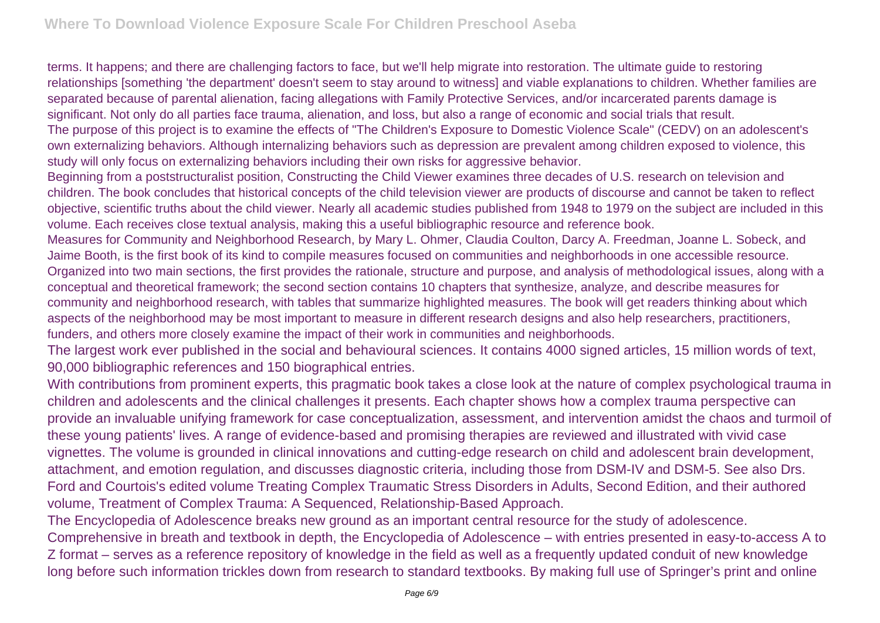terms. It happens; and there are challenging factors to face, but we'll help migrate into restoration. The ultimate guide to restoring relationships [something 'the department' doesn't seem to stay around to witness] and viable explanations to children. Whether families are separated because of parental alienation, facing allegations with Family Protective Services, and/or incarcerated parents damage is significant. Not only do all parties face trauma, alienation, and loss, but also a range of economic and social trials that result. The purpose of this project is to examine the effects of "The Children's Exposure to Domestic Violence Scale" (CEDV) on an adolescent's own externalizing behaviors. Although internalizing behaviors such as depression are prevalent among children exposed to violence, this study will only focus on externalizing behaviors including their own risks for aggressive behavior.

Beginning from a poststructuralist position, Constructing the Child Viewer examines three decades of U.S. research on television and children. The book concludes that historical concepts of the child television viewer are products of discourse and cannot be taken to reflect objective, scientific truths about the child viewer. Nearly all academic studies published from 1948 to 1979 on the subject are included in this volume. Each receives close textual analysis, making this a useful bibliographic resource and reference book.

Measures for Community and Neighborhood Research, by Mary L. Ohmer, Claudia Coulton, Darcy A. Freedman, Joanne L. Sobeck, and Jaime Booth, is the first book of its kind to compile measures focused on communities and neighborhoods in one accessible resource. Organized into two main sections, the first provides the rationale, structure and purpose, and analysis of methodological issues, along with a conceptual and theoretical framework; the second section contains 10 chapters that synthesize, analyze, and describe measures for community and neighborhood research, with tables that summarize highlighted measures. The book will get readers thinking about which aspects of the neighborhood may be most important to measure in different research designs and also help researchers, practitioners, funders, and others more closely examine the impact of their work in communities and neighborhoods.

The largest work ever published in the social and behavioural sciences. It contains 4000 signed articles, 15 million words of text, 90,000 bibliographic references and 150 biographical entries.

With contributions from prominent experts, this pragmatic book takes a close look at the nature of complex psychological trauma in children and adolescents and the clinical challenges it presents. Each chapter shows how a complex trauma perspective can provide an invaluable unifying framework for case conceptualization, assessment, and intervention amidst the chaos and turmoil of these young patients' lives. A range of evidence-based and promising therapies are reviewed and illustrated with vivid case vignettes. The volume is grounded in clinical innovations and cutting-edge research on child and adolescent brain development, attachment, and emotion regulation, and discusses diagnostic criteria, including those from DSM-IV and DSM-5. See also Drs. Ford and Courtois's edited volume Treating Complex Traumatic Stress Disorders in Adults, Second Edition, and their authored volume, Treatment of Complex Trauma: A Sequenced, Relationship-Based Approach.

The Encyclopedia of Adolescence breaks new ground as an important central resource for the study of adolescence.

Comprehensive in breath and textbook in depth, the Encyclopedia of Adolescence – with entries presented in easy-to-access A to Z format – serves as a reference repository of knowledge in the field as well as a frequently updated conduit of new knowledge long before such information trickles down from research to standard textbooks. By making full use of Springer's print and online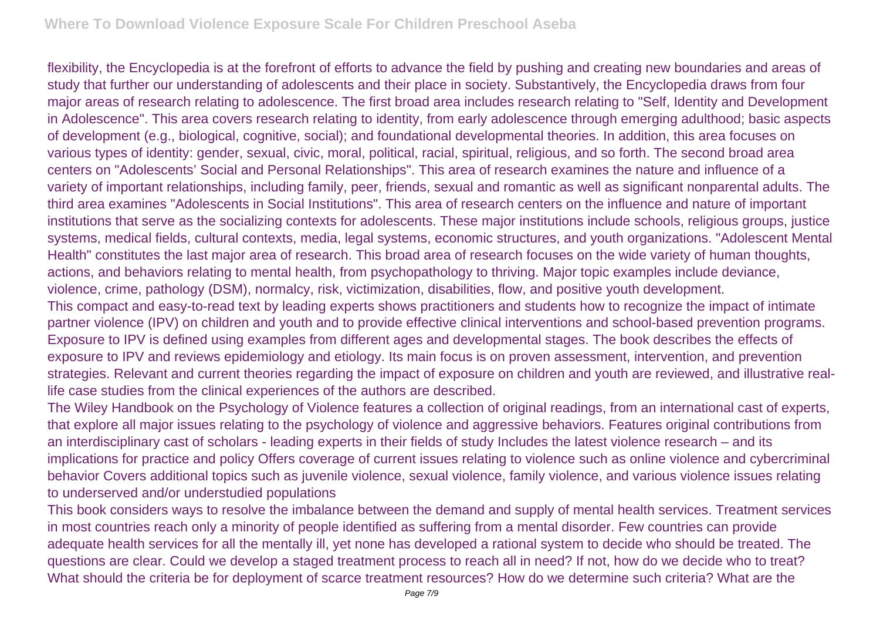flexibility, the Encyclopedia is at the forefront of efforts to advance the field by pushing and creating new boundaries and areas of study that further our understanding of adolescents and their place in society. Substantively, the Encyclopedia draws from four major areas of research relating to adolescence. The first broad area includes research relating to "Self, Identity and Development in Adolescence". This area covers research relating to identity, from early adolescence through emerging adulthood; basic aspects of development (e.g., biological, cognitive, social); and foundational developmental theories. In addition, this area focuses on various types of identity: gender, sexual, civic, moral, political, racial, spiritual, religious, and so forth. The second broad area centers on "Adolescents' Social and Personal Relationships". This area of research examines the nature and influence of a variety of important relationships, including family, peer, friends, sexual and romantic as well as significant nonparental adults. The third area examines "Adolescents in Social Institutions". This area of research centers on the influence and nature of important institutions that serve as the socializing contexts for adolescents. These major institutions include schools, religious groups, justice systems, medical fields, cultural contexts, media, legal systems, economic structures, and youth organizations. "Adolescent Mental Health" constitutes the last major area of research. This broad area of research focuses on the wide variety of human thoughts, actions, and behaviors relating to mental health, from psychopathology to thriving. Major topic examples include deviance, violence, crime, pathology (DSM), normalcy, risk, victimization, disabilities, flow, and positive youth development. This compact and easy-to-read text by leading experts shows practitioners and students how to recognize the impact of intimate partner violence (IPV) on children and youth and to provide effective clinical interventions and school-based prevention programs.

Exposure to IPV is defined using examples from different ages and developmental stages. The book describes the effects of exposure to IPV and reviews epidemiology and etiology. Its main focus is on proven assessment, intervention, and prevention strategies. Relevant and current theories regarding the impact of exposure on children and youth are reviewed, and illustrative reallife case studies from the clinical experiences of the authors are described.

The Wiley Handbook on the Psychology of Violence features a collection of original readings, from an international cast of experts, that explore all major issues relating to the psychology of violence and aggressive behaviors. Features original contributions from an interdisciplinary cast of scholars - leading experts in their fields of study Includes the latest violence research – and its implications for practice and policy Offers coverage of current issues relating to violence such as online violence and cybercriminal behavior Covers additional topics such as juvenile violence, sexual violence, family violence, and various violence issues relating to underserved and/or understudied populations

This book considers ways to resolve the imbalance between the demand and supply of mental health services. Treatment services in most countries reach only a minority of people identified as suffering from a mental disorder. Few countries can provide adequate health services for all the mentally ill, yet none has developed a rational system to decide who should be treated. The questions are clear. Could we develop a staged treatment process to reach all in need? If not, how do we decide who to treat? What should the criteria be for deployment of scarce treatment resources? How do we determine such criteria? What are the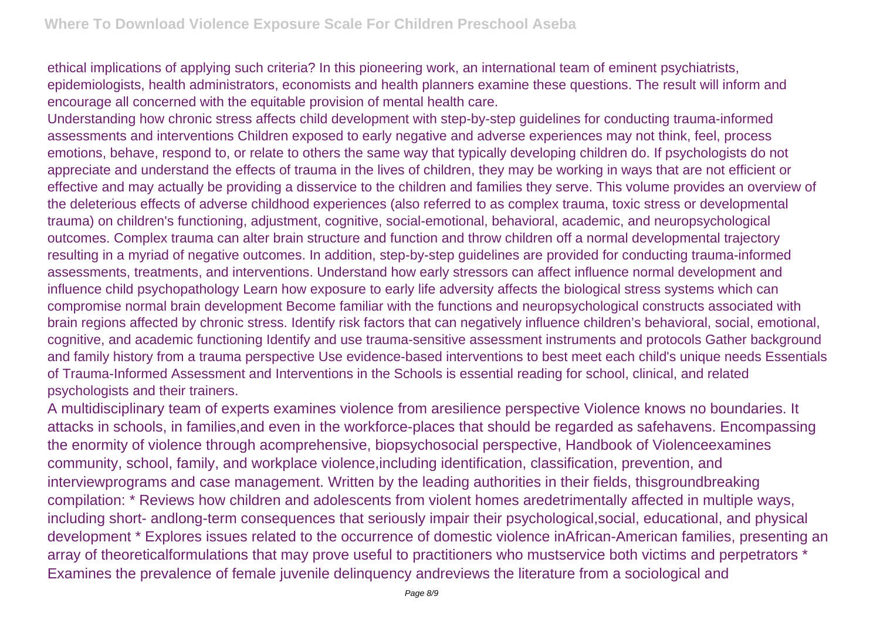ethical implications of applying such criteria? In this pioneering work, an international team of eminent psychiatrists, epidemiologists, health administrators, economists and health planners examine these questions. The result will inform and encourage all concerned with the equitable provision of mental health care.

Understanding how chronic stress affects child development with step-by-step guidelines for conducting trauma-informed assessments and interventions Children exposed to early negative and adverse experiences may not think, feel, process emotions, behave, respond to, or relate to others the same way that typically developing children do. If psychologists do not appreciate and understand the effects of trauma in the lives of children, they may be working in ways that are not efficient or effective and may actually be providing a disservice to the children and families they serve. This volume provides an overview of the deleterious effects of adverse childhood experiences (also referred to as complex trauma, toxic stress or developmental trauma) on children's functioning, adjustment, cognitive, social-emotional, behavioral, academic, and neuropsychological outcomes. Complex trauma can alter brain structure and function and throw children off a normal developmental trajectory resulting in a myriad of negative outcomes. In addition, step-by-step guidelines are provided for conducting trauma-informed assessments, treatments, and interventions. Understand how early stressors can affect influence normal development and influence child psychopathology Learn how exposure to early life adversity affects the biological stress systems which can compromise normal brain development Become familiar with the functions and neuropsychological constructs associated with brain regions affected by chronic stress. Identify risk factors that can negatively influence children's behavioral, social, emotional, cognitive, and academic functioning Identify and use trauma-sensitive assessment instruments and protocols Gather background and family history from a trauma perspective Use evidence-based interventions to best meet each child's unique needs Essentials of Trauma-Informed Assessment and Interventions in the Schools is essential reading for school, clinical, and related psychologists and their trainers.

A multidisciplinary team of experts examines violence from aresilience perspective Violence knows no boundaries. It attacks in schools, in families,and even in the workforce-places that should be regarded as safehavens. Encompassing the enormity of violence through acomprehensive, biopsychosocial perspective, Handbook of Violenceexamines community, school, family, and workplace violence,including identification, classification, prevention, and interviewprograms and case management. Written by the leading authorities in their fields, thisgroundbreaking compilation: \* Reviews how children and adolescents from violent homes aredetrimentally affected in multiple ways, including short- andlong-term consequences that seriously impair their psychological,social, educational, and physical development \* Explores issues related to the occurrence of domestic violence inAfrican-American families, presenting an array of theoreticalformulations that may prove useful to practitioners who mustservice both victims and perpetrators \* Examines the prevalence of female juvenile delinquency andreviews the literature from a sociological and